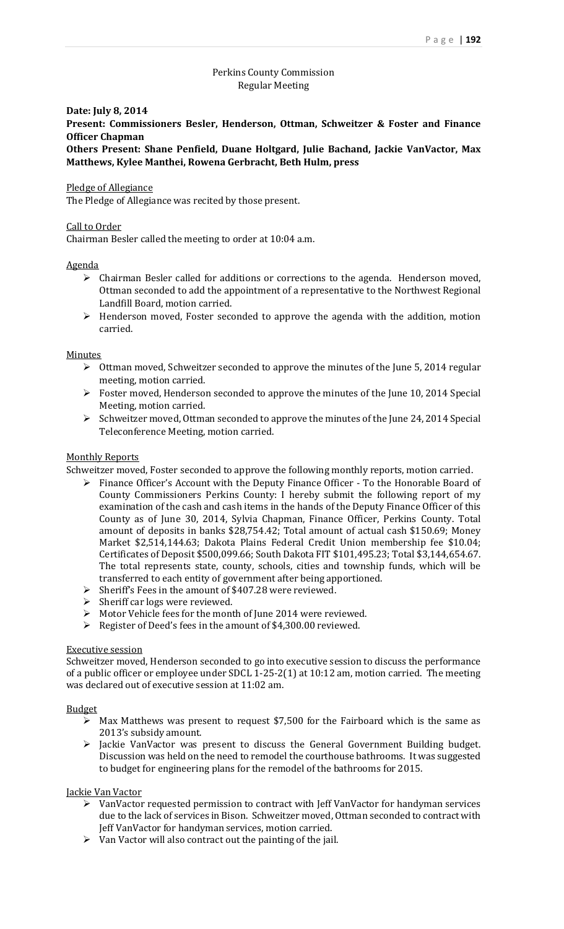# Perkins County Commission Regular Meeting

### **Date: July 8, 2014**

**Present: Commissioners Besler, Henderson, Ottman, Schweitzer & Foster and Finance Officer Chapman**

**Others Present: Shane Penfield, Duane Holtgard, Julie Bachand, Jackie VanVactor, Max Matthews, Kylee Manthei, Rowena Gerbracht, Beth Hulm, press**

## Pledge of Allegiance

The Pledge of Allegiance was recited by those present.

## Call to Order

Chairman Besler called the meeting to order at 10:04 a.m.

## Agenda

- $\triangleright$  Chairman Besler called for additions or corrections to the agenda. Henderson moved, Ottman seconded to add the appointment of a representative to the Northwest Regional Landfill Board, motion carried.
- $\triangleright$  Henderson moved, Foster seconded to approve the agenda with the addition, motion carried.

### **Minutes**

- $\triangleright$  Ottman moved, Schweitzer seconded to approve the minutes of the June 5, 2014 regular meeting, motion carried.
- $\triangleright$  Foster moved, Henderson seconded to approve the minutes of the June 10, 2014 Special Meeting, motion carried.
- $\triangleright$  Schweitzer moved, Ottman seconded to approve the minutes of the June 24, 2014 Special Teleconference Meeting, motion carried.

## Monthly Reports

Schweitzer moved, Foster seconded to approve the following monthly reports, motion carried.

- $\triangleright$  Finance Officer's Account with the Deputy Finance Officer To the Honorable Board of County Commissioners Perkins County: I hereby submit the following report of my examination of the cash and cash items in the hands of the Deputy Finance Officer of this County as of June 30, 2014, Sylvia Chapman, Finance Officer, Perkins County. Total amount of deposits in banks \$28,754.42; Total amount of actual cash \$150.69; Money Market \$2,514,144.63; Dakota Plains Federal Credit Union membership fee \$10.04; Certificates of Deposit \$500,099.66; South Dakota FIT \$101,495.23; Total \$3,144,654.67. The total represents state, county, schools, cities and township funds, which will be transferred to each entity of government after being apportioned.
- $\triangleright$  Sheriff's Fees in the amount of \$407.28 were reviewed.
- $\triangleright$  Sheriff car logs were reviewed.
- Motor Vehicle fees for the month of June 2014 were reviewed.
- Register of Deed's fees in the amount of \$4,300.00 reviewed.

### Executive session

Schweitzer moved, Henderson seconded to go into executive session to discuss the performance of a public officer or employee under SDCL 1-25-2(1) at 10:12 am, motion carried. The meeting was declared out of executive session at 11:02 am.

### Budget

- $\triangleright$  Max Matthews was present to request \$7,500 for the Fairboard which is the same as 2013's subsidy amount.
- > Jackie VanVactor was present to discuss the General Government Building budget. Discussion was held on the need to remodel the courthouse bathrooms. It was suggested to budget for engineering plans for the remodel of the bathrooms for 2015.

## Jackie Van Vactor

- VanVactor requested permission to contract with Jeff VanVactor for handyman services due to the lack of services in Bison. Schweitzer moved, Ottman seconded to contract with Jeff VanVactor for handyman services, motion carried.
- $\triangleright$  Van Vactor will also contract out the painting of the jail.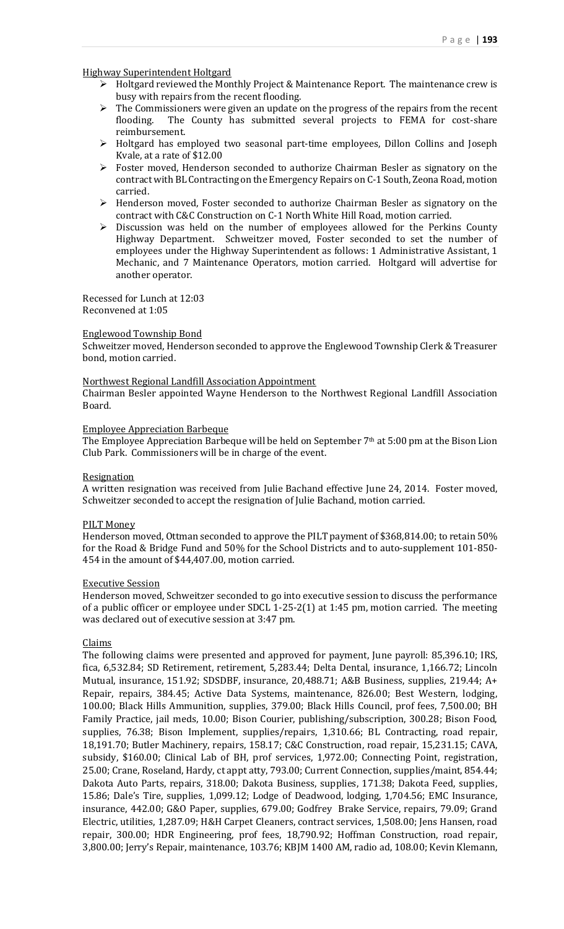## Highway Superintendent Holtgard

- Holtgard reviewed the Monthly Project & Maintenance Report. The maintenance crew is busy with repairs from the recent flooding.
- $\triangleright$  The Commissioners were given an update on the progress of the repairs from the recent flooding. The County has submitted several projects to FEMA for cost-share reimbursement.
- Holtgard has employed two seasonal part-time employees, Dillon Collins and Joseph Kvale, at a rate of \$12.00
- Foster moved, Henderson seconded to authorize Chairman Besler as signatory on the contract with BL Contracting on the Emergency Repairs on C-1 South, Zeona Road, motion carried.
- Henderson moved, Foster seconded to authorize Chairman Besler as signatory on the contract with C&C Construction on C-1 North White Hill Road, motion carried.
- Discussion was held on the number of employees allowed for the Perkins County Highway Department. Schweitzer moved, Foster seconded to set the number of employees under the Highway Superintendent as follows: 1 Administrative Assistant, 1 Mechanic, and 7 Maintenance Operators, motion carried. Holtgard will advertise for another operator.

Recessed for Lunch at 12:03 Reconvened at 1:05

### Englewood Township Bond

Schweitzer moved, Henderson seconded to approve the Englewood Township Clerk & Treasurer bond, motion carried.

### Northwest Regional Landfill Association Appointment

Chairman Besler appointed Wayne Henderson to the Northwest Regional Landfill Association Board.

#### Employee Appreciation Barbeque

The Employee Appreciation Barbeque will be held on September 7<sup>th</sup> at 5:00 pm at the Bison Lion Club Park. Commissioners will be in charge of the event.

### **Resignation**

A written resignation was received from Julie Bachand effective June 24, 2014. Foster moved, Schweitzer seconded to accept the resignation of Julie Bachand, motion carried.

### PILT Money

Henderson moved, Ottman seconded to approve the PILT payment of \$368,814.00; to retain 50% for the Road & Bridge Fund and 50% for the School Districts and to auto-supplement 101-850- 454 in the amount of \$44,407.00, motion carried.

### Executive Session

Henderson moved, Schweitzer seconded to go into executive session to discuss the performance of a public officer or employee under SDCL 1-25-2(1) at 1:45 pm, motion carried. The meeting was declared out of executive session at 3:47 pm.

### Claims

The following claims were presented and approved for payment, June payroll: 85,396.10; IRS, fica, 6,532.84; SD Retirement, retirement, 5,283.44; Delta Dental, insurance, 1,166.72; Lincoln Mutual, insurance, 151.92; SDSDBF, insurance, 20,488.71; A&B Business, supplies, 219.44; A+ Repair, repairs, 384.45; Active Data Systems, maintenance, 826.00; Best Western, lodging, 100.00; Black Hills Ammunition, supplies, 379.00; Black Hills Council, prof fees, 7,500.00; BH Family Practice, jail meds, 10.00; Bison Courier, publishing/subscription, 300.28; Bison Food, supplies, 76.38; Bison Implement, supplies/repairs, 1,310.66; BL Contracting, road repair, 18,191.70; Butler Machinery, repairs, 158.17; C&C Construction, road repair, 15,231.15; CAVA, subsidy, \$160.00; Clinical Lab of BH, prof services, 1,972.00; Connecting Point, registration, 25.00; Crane, Roseland, Hardy, ct appt atty, 793.00; Current Connection, supplies/maint, 854.44; Dakota Auto Parts, repairs, 318.00; Dakota Business, supplies, 171.38; Dakota Feed, supplies, 15.86; Dale's Tire, supplies, 1,099.12; Lodge of Deadwood, lodging, 1,704.56; EMC Insurance, insurance, 442.00; G&O Paper, supplies, 679.00; Godfrey Brake Service, repairs, 79.09; Grand Electric, utilities, 1,287.09; H&H Carpet Cleaners, contract services, 1,508.00; Jens Hansen, road repair, 300.00; HDR Engineering, prof fees, 18,790.92; Hoffman Construction, road repair, 3,800.00; Jerry's Repair, maintenance, 103.76; KBJM 1400 AM, radio ad, 108.00; Kevin Klemann,